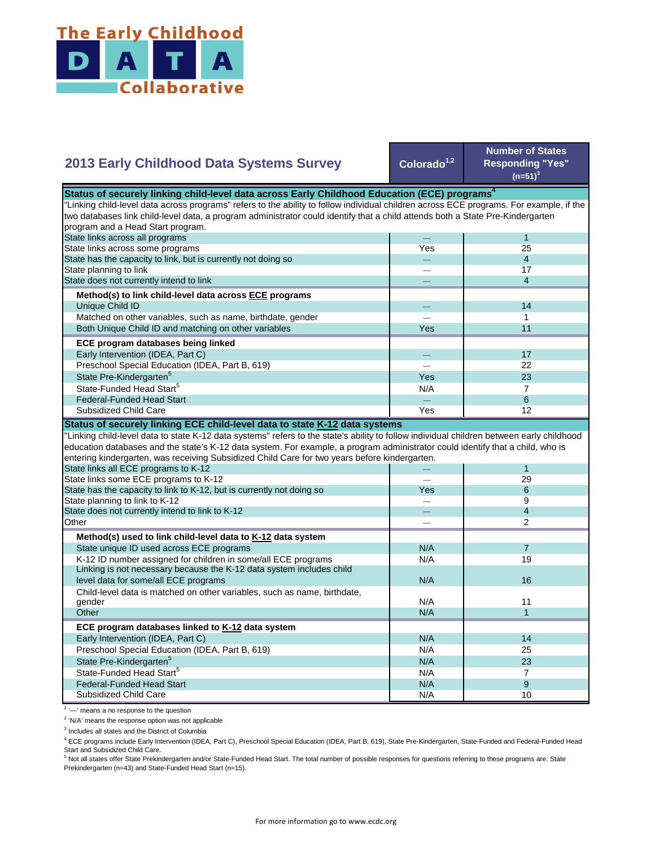

## Colorado<sup>1,2</sup> **Number of States Responding "Yes"**   $(n=51)^{3}$ — 1 Yes 25 — 4  $-$  17 — 4  $-$  14  $-$  1 Yes **I** 11  $-$  17 — 22 Yes 23  $N/A$  7 State Pre-Kindergarten<sup>5</sup> State-Funded Head Start<sup>5</sup> Matched on other variables, such as name, birthdate, gender Both Unique Child ID and matching on other variables  **ECE program databases being linked**  Early Intervention (IDEA, Part C) Preschool Special Education (IDEA, Part B, 619) State has the capacity to link, but is currently not doing so State planning to link State does not currently intend to link  **Method(s) to link child-level data across ECE programs** Unique Child ID **2013 Early Childhood Data Systems Survey** Status of securely linking child-level data across Early Childhood Education (ECE) programs<sup>4</sup> "Linking child-level data across programs" refers to the ability to follow individual children across ECE programs. For example, if the two databases link child-level data, a program administrator could identify that a child attends both a State Pre-Kindergarten program and a Head Start program. State links across all programs State links across some programs — 6 Yes | 12 — 1 — 29 Yes 6 — 9 — 4 — 2  $N/A$  7 N/A 19 N/A N/A 11  $N/A$  1 N/A 14 N/A 25 N/A 23  $N/A$  7  $N/A$  9 Preschool Special Education (IDEA, Part B, 619) State Pre-Kindergarten<sup>5</sup> State-Funded Head Start<sup>5</sup> Federal-Funded Head Start Child-level data is matched on other variables, such as name, birthdate, gender **Other ECE program databases linked to K-12 data system** Early Intervention (IDEA, Part C) **Other Method(s) used to link child-level data to K-12 data system** State unique ID used across ECE programs K-12 ID number assigned for children in some/all ECE programs Linking is not necessary because the K-12 data system includes child level data for some/all ECE programs 16 and 16 and 16 and 16 and 16 and 16 and 16 and 16 and 16 and 16 and 16  $\mu$ "Linking child-level data to state K-12 data systems" refers to the state's ability to follow individual children between early childhood education databases and the state's K-12 data system. For example, a program administrator could identify that a child, who is entering kindergarten, was receiving Subsidized Child Care for two years before kindergarten. State links all ECE programs to K-12 State links some ECE programs to K-12 State has the capacity to link to K-12, but is currently not doing so State planning to link to K-12 State does not currently intend to link to K-12 Federal-Funded Head Start Subsidized Child Care **Status of securely linking ECE child-level data to state K-12 data systems**

Subsidized Child Care

<sup>1</sup> '-' means a no response to the question

<sup>2</sup> 'N/A' means the response option was not applicable

<sup>3</sup> Includes all states and the District of Columbia

<sup>4</sup> ECE programs include Early Intervention (IDEA, Part C), Preschool Special Education (IDEA, Part B, 619), State Pre-Kindergarten, State-Funded and Federal-Funded Head Start and Subsidized Child Care.

N/A 10

<sup>5</sup> Not all states offer State Prekindergarten and/or State-Funded Head Start. The total number of possible responses for questions referring to these programs are: State Prekindergarten (n=43) and State-Funded Head Start (n=15).